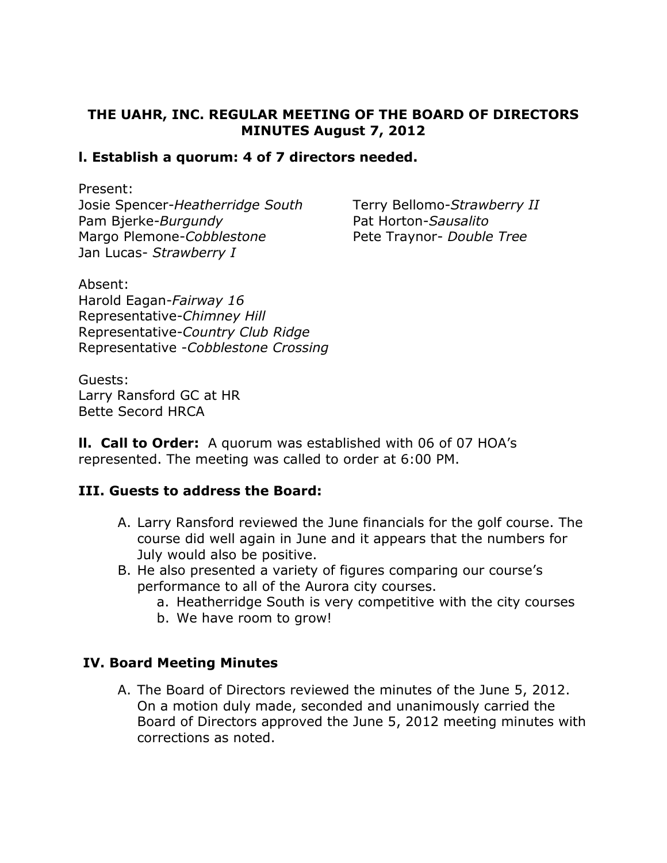## THE UAHR, INC. REGULAR MEETING OF THE BOARD OF DIRECTORS MINUTES August 7, 2012

### l. Establish a quorum: 4 of 7 directors needed.

Present:

Josie Spencer-Heatherridge South Terry Bellomo-Strawberry II Pam Bjerke-Burgundy Pat Horton-Sausalito Margo Plemone-Cobblestone Pete Traynor- Double Tree Jan Lucas- Strawberry I

Absent: Harold Eagan-Fairway 16 Representative-Chimney Hill Representative-Country Club Ridge Representative -Cobblestone Crossing

Guests: Larry Ransford GC at HR Bette Secord HRCA

II. Call to Order: A quorum was established with 06 of 07 HOA's represented. The meeting was called to order at 6:00 PM.

#### III. Guests to address the Board:

- A. Larry Ransford reviewed the June financials for the golf course. The course did well again in June and it appears that the numbers for July would also be positive.
- B. He also presented a variety of figures comparing our course's performance to all of the Aurora city courses.
	- a. Heatherridge South is very competitive with the city courses
	- b. We have room to grow!

#### IV. Board Meeting Minutes

A. The Board of Directors reviewed the minutes of the June 5, 2012. On a motion duly made, seconded and unanimously carried the Board of Directors approved the June 5, 2012 meeting minutes with corrections as noted.